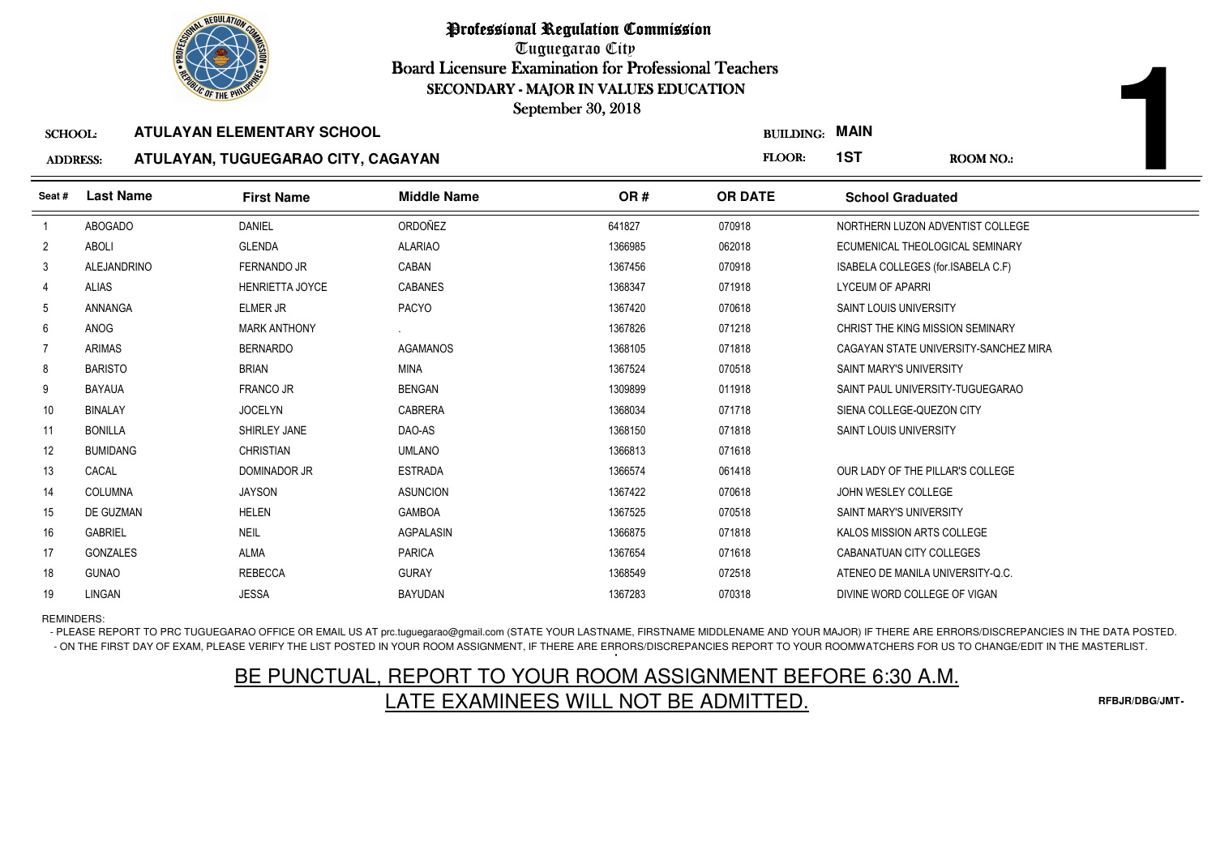

Professional Regulation Commission

Tuguegarao City Board Licensure Examination for Professional Teachers September 30, 2018

| <b><i>OLIC OF THE PHILIP</i></b> |                        |                                   |                                    |                    |                                                                     |                    |
|----------------------------------|------------------------|-----------------------------------|------------------------------------|--------------------|---------------------------------------------------------------------|--------------------|
| <b>SCHOOL:</b>                   |                        |                                   |                                    |                    |                                                                     |                    |
|                                  |                        |                                   |                                    |                    |                                                                     | <b>ROOM NO.:</b>   |
|                                  |                        |                                   |                                    |                    |                                                                     |                    |
| <b>Last Name</b>                 | <b>First Name</b>      | <b>Middle Name</b>                | OR#                                | <b>OR DATE</b>     | <b>School Graduated</b>                                             |                    |
| ABOGADO                          | <b>DANIEL</b>          | ORDOÑEZ                           | 641827                             | 070918             | NORTHERN LUZON ADVENTIST COLLEGE                                    |                    |
| <b>ABOLI</b>                     | <b>GLENDA</b>          | <b>ALARIAO</b>                    | 1366985                            | 062018             | ECUMENICAL THEOLOGICAL SEMINARY                                     |                    |
| <b>ALEJANDRINO</b>               | <b>FERNANDO JR</b>     | CABAN                             | 1367456                            | 070918             | ISABELA COLLEGES (for.ISABELA C.F)                                  |                    |
| <b>ALIAS</b>                     | <b>HENRIETTA JOYCE</b> | <b>CABANES</b>                    | 1368347                            | 071918             | <b>LYCEUM OF APARRI</b>                                             |                    |
| ANNANGA                          | <b>ELMER JR</b>        | <b>PACYO</b>                      | 1367420                            | 070618             | SAINT LOUIS UNIVERSITY                                              |                    |
| ANOG                             | <b>MARK ANTHONY</b>    |                                   | 1367826                            | 071218             | CHRIST THE KING MISSION SEMINARY                                    |                    |
| <b>ARIMAS</b>                    | <b>BERNARDO</b>        | <b>AGAMANOS</b>                   | 1368105                            | 071818             | CAGAYAN STATE UNIVERSITY-SANCHEZ MIRA                               |                    |
| <b>BARISTO</b>                   | <b>BRIAN</b>           | <b>MINA</b>                       | 1367524                            | 070518             | SAINT MARY'S UNIVERSITY                                             |                    |
| <b>BAYAUA</b>                    | <b>FRANCO JR</b>       | <b>BENGAN</b>                     | 1309899                            | 011918             | SAINT PAUL UNIVERSITY-TUGUEGARAO                                    |                    |
| <b>BINALAY</b>                   | <b>JOCELYN</b>         | <b>CABRERA</b>                    | 1368034                            | 071718             | SIENA COLLEGE-QUEZON CITY                                           |                    |
| <b>BONILLA</b>                   | SHIRLEY JANE           | DAO-AS                            | 1368150                            | 071818             | SAINT LOUIS UNIVERSITY                                              |                    |
| <b>BUMIDANG</b>                  | <b>CHRISTIAN</b>       | <b>UMLANO</b>                     | 1366813                            | 071618             |                                                                     |                    |
| CACAL                            | <b>DOMINADOR JR</b>    | <b>ESTRADA</b>                    | 1366574                            | 061418             | OUR LADY OF THE PILLAR'S COLLEGE                                    |                    |
| <b>COLUMNA</b>                   | <b>JAYSON</b>          | <b>ASUNCION</b>                   | 1367422                            | 070618             | JOHN WESLEY COLLEGE                                                 |                    |
| DE GUZMAN                        | <b>HELEN</b>           | <b>GAMBOA</b>                     | 1367525                            | 070518             | SAINT MARY'S UNIVERSITY                                             |                    |
| <b>GABRIEL</b>                   | <b>NEIL</b>            | <b>AGPALASIN</b>                  | 1366875                            | 071818             | KALOS MISSION ARTS COLLEGE                                          |                    |
| <b>GONZALES</b>                  | <b>ALMA</b>            | <b>PARICA</b>                     | 1367654                            | 071618             | CABANATUAN CITY COLLEGES                                            |                    |
| <b>GUNAO</b>                     | <b>REBECCA</b>         | <b>GURAY</b>                      | 1368549                            | 072518             | ATENEO DE MANILA UNIVERSITY-Q.C.                                    |                    |
| LINGAN                           | <b>JESSA</b>           | <b>BAYUDAN</b>                    | 1367283                            | 070318             | DIVINE WORD COLLEGE OF VIGAN                                        |                    |
|                                  | <b>ADDRESS:</b>        | <b>ATULAYAN ELEMENTARY SCHOOL</b> | ATULAYAN, TUGUEGARAO CITY, CAGAYAN | September 30, 2018 | SECONDARY - MAJOR IN VALUES EDUCATION<br><b>BUILDING:</b><br>FLOOR: | <b>MAIN</b><br>1ST |

## REMINDERS:

- PLEASE REPORT TO PRC TUGUEGARAO OFFICE OR EMAIL US AT prc.tuguegarao@gmail.com (STATE YOUR LASTNAME, FIRSTNAME MIDDLENAME AND YOUR MAJOR) IF THERE ARE ERRORS/DISCREPANCIES IN THE DATA POSTED. - ON THE FIRST DAY OF EXAM, PLEASE VERIFY THE LIST POSTED IN YOUR ROOM ASSIGNMENT, IF THERE ARE ERRORS/DISCREPANCIES REPORT TO YOUR ROOMWATCHERS FOR US TO CHANGE/EDIT IN THE MASTERLIST.

## BE PUNCTUAL, REPORT TO YOUR ROOM ASSIGNMENT BEFORE 6:30 A.M.LATE EXAMINEES WILL NOT BE ADMITTED.

**RFBJR/DBG/JMT**

**1**